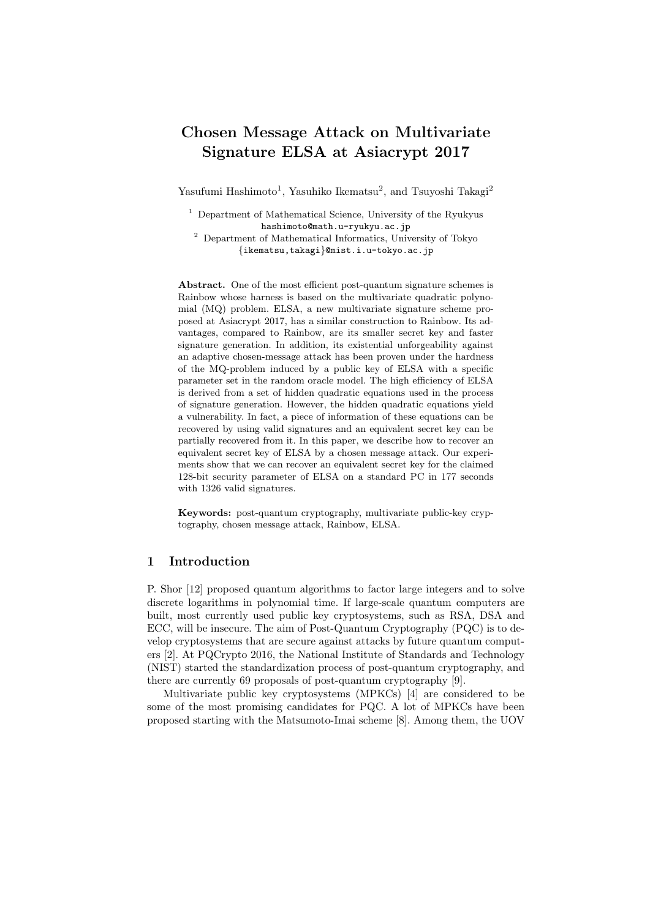# **Chosen Message Attack on Multivariate Signature ELSA at Asiacrypt 2017**

Yasufumi Hashimoto<sup>1</sup>, Yasuhiko Ikematsu<sup>2</sup>, and Tsuyoshi Takagi<sup>2</sup>

<sup>1</sup> Department of Mathematical Science, University of the Ryukyus hashimoto@math.u-ryukyu.ac.jp

<sup>2</sup> Department of Mathematical Informatics, University of Tokyo *{*ikematsu,takagi*}*@mist.i.u-tokyo.ac.jp

**Abstract.** One of the most efficient post-quantum signature schemes is Rainbow whose harness is based on the multivariate quadratic polynomial (MQ) problem. ELSA, a new multivariate signature scheme proposed at Asiacrypt 2017, has a similar construction to Rainbow. Its advantages, compared to Rainbow, are its smaller secret key and faster signature generation. In addition, its existential unforgeability against an adaptive chosen-message attack has been proven under the hardness of the MQ-problem induced by a public key of ELSA with a specific parameter set in the random oracle model. The high efficiency of ELSA is derived from a set of hidden quadratic equations used in the process of signature generation. However, the hidden quadratic equations yield a vulnerability. In fact, a piece of information of these equations can be recovered by using valid signatures and an equivalent secret key can be partially recovered from it. In this paper, we describe how to recover an equivalent secret key of ELSA by a chosen message attack. Our experiments show that we can recover an equivalent secret key for the claimed 128-bit security parameter of ELSA on a standard PC in 177 seconds with 1326 valid signatures.

**Keywords:** post-quantum cryptography, multivariate public-key cryptography, chosen message attack, Rainbow, ELSA.

# **1 Introduction**

P. Shor [12] proposed quantum algorithms to factor large integers and to solve discrete logarithms in polynomial time. If large-scale quantum computers are built, most currently used public key cryptosystems, such as RSA, DSA and ECC, will be insecure. The aim of Post-Quantum Cryptography (PQC) is to develop cryptosystems that are secure against attacks by future quantum computers [2]. At PQCrypto 2016, the National Institute of Standards and Technology (NIST) started the standardization process of post-quantum cryptography, and there are currently 69 proposals of post-quantum cryptography [9].

Multivariate public key cryptosystems (MPKCs) [4] are considered to be some of the most promising candidates for PQC. A lot of MPKCs have been proposed starting with the Matsumoto-Imai scheme [8]. Among them, the UOV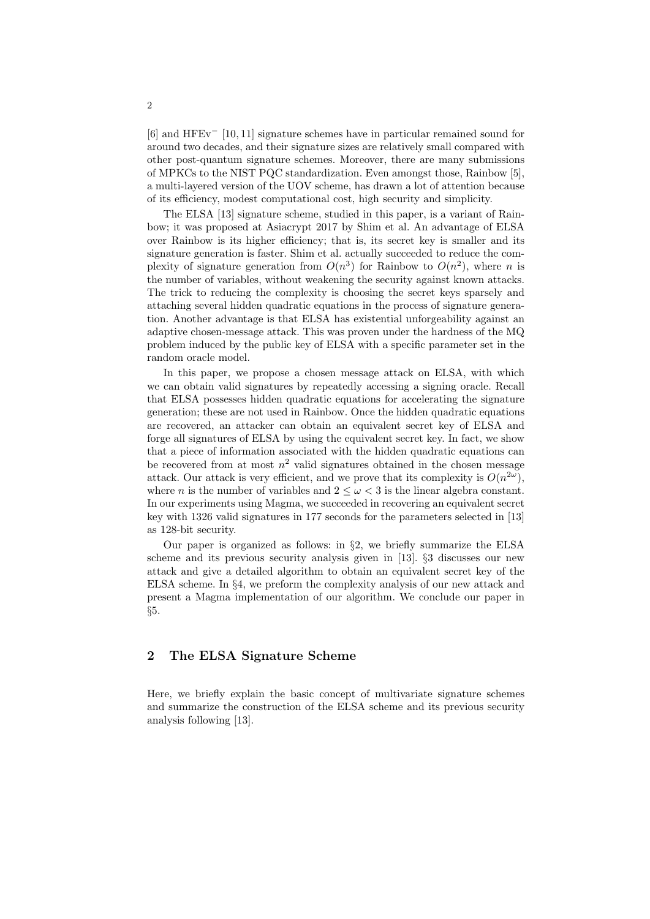[6] and HFEv*<sup>−</sup>* [10, 11] signature schemes have in particular remained sound for around two decades, and their signature sizes are relatively small compared with other post-quantum signature schemes. Moreover, there are many submissions of MPKCs to the NIST PQC standardization. Even amongst those, Rainbow [5], a multi-layered version of the UOV scheme, has drawn a lot of attention because of its efficiency, modest computational cost, high security and simplicity.

The ELSA [13] signature scheme, studied in this paper, is a variant of Rainbow; it was proposed at Asiacrypt 2017 by Shim et al. An advantage of ELSA over Rainbow is its higher efficiency; that is, its secret key is smaller and its signature generation is faster. Shim et al. actually succeeded to reduce the complexity of signature generation from  $O(n^3)$  for Rainbow to  $O(n^2)$ , where *n* is the number of variables, without weakening the security against known attacks. The trick to reducing the complexity is choosing the secret keys sparsely and attaching several hidden quadratic equations in the process of signature generation. Another advantage is that ELSA has existential unforgeability against an adaptive chosen-message attack. This was proven under the hardness of the MQ problem induced by the public key of ELSA with a specific parameter set in the random oracle model.

In this paper, we propose a chosen message attack on ELSA, with which we can obtain valid signatures by repeatedly accessing a signing oracle. Recall that ELSA possesses hidden quadratic equations for accelerating the signature generation; these are not used in Rainbow. Once the hidden quadratic equations are recovered, an attacker can obtain an equivalent secret key of ELSA and forge all signatures of ELSA by using the equivalent secret key. In fact, we show that a piece of information associated with the hidden quadratic equations can be recovered from at most  $n^2$  valid signatures obtained in the chosen message attack. Our attack is very efficient, and we prove that its complexity is  $O(n^{2\omega})$ , where *n* is the number of variables and  $2 \leq \omega < 3$  is the linear algebra constant. In our experiments using Magma, we succeeded in recovering an equivalent secret key with 1326 valid signatures in 177 seconds for the parameters selected in [13] as 128-bit security.

Our paper is organized as follows: in *§*2, we briefly summarize the ELSA scheme and its previous security analysis given in [13]. *§*3 discusses our new attack and give a detailed algorithm to obtain an equivalent secret key of the ELSA scheme. In *§*4, we preform the complexity analysis of our new attack and present a Magma implementation of our algorithm. We conclude our paper in *§*5.

## **2 The ELSA Signature Scheme**

Here, we briefly explain the basic concept of multivariate signature schemes and summarize the construction of the ELSA scheme and its previous security analysis following [13].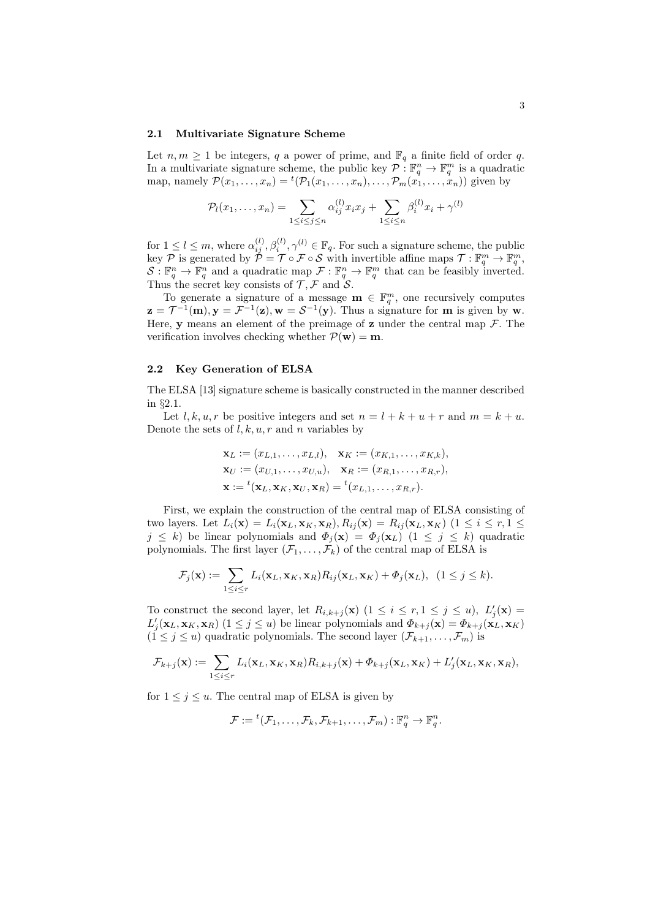#### **2.1 Multivariate Signature Scheme**

Let  $n, m \ge 1$  be integers,  $q$  a power of prime, and  $\mathbb{F}_q$  a finite field of order  $q$ . In a multivariate signature scheme, the public key  $P: \mathbb{F}_q^n \to \mathbb{F}_q^m$  is a quadratic map, namely  $\mathcal{P}(x_1,\ldots,x_n) = {}^t(\mathcal{P}_1(x_1,\ldots,x_n),\ldots,\mathcal{P}_m(x_1,\ldots,x_n))$  given by

$$
\mathcal{P}_l(x_1, \dots, x_n) = \sum_{1 \le i \le j \le n} \alpha_{ij}^{(l)} x_i x_j + \sum_{1 \le i \le n} \beta_i^{(l)} x_i + \gamma^{(l)}
$$

for  $1 \leq l \leq m$ , where  $\alpha_{ij}^{(l)}, \beta_i^{(l)}, \gamma^{(l)} \in \mathbb{F}_q$ . For such a signature scheme, the public  $\mathcal{P}$  is generated by  $\check{\mathcal{P}} = \mathcal{T} \circ \mathcal{F} \circ \mathcal{S}$  with invertible affine maps  $\mathcal{T} : \mathbb{F}_q^m \to \mathbb{F}_q^m$ ,  $S: \mathbb{F}_q^n \to \mathbb{F}_q^n$  and a quadratic map  $\mathcal{F}: \mathbb{F}_q^n \to \mathbb{F}_q^m$  that can be feasibly inverted. Thus the secret key consists of  $\mathcal{T}, \mathcal{F}$  and  $\mathcal{S}.$ 

To generate a signature of a message  $\mathbf{m} \in \mathbb{F}_q^m$ , one recursively computes  $\mathbf{z} = \mathcal{T}^{-1}(\mathbf{m}), \mathbf{y} = \mathcal{F}^{-1}(\mathbf{z}), \mathbf{w} = \mathcal{S}^{-1}(\mathbf{y}).$  Thus a signature for **m** is given by **w**. Here, **y** means an element of the preimage of **z** under the central map  $\mathcal{F}$ . The verification involves checking whether  $P(\mathbf{w}) = \mathbf{m}$ .

#### **2.2 Key Generation of ELSA**

The ELSA [13] signature scheme is basically constructed in the manner described in *§*2.1.

Let l, k, u, r be positive integers and set  $n = l + k + u + r$  and  $m = k + u$ . Denote the sets of *l, k, u, r* and *n* variables by

$$
\mathbf{x}_L := (x_{L,1}, \dots, x_{L,l}), \quad \mathbf{x}_K := (x_{K,1}, \dots, x_{K,k}), \n\mathbf{x}_U := (x_{U,1}, \dots, x_{U,u}), \quad \mathbf{x}_R := (x_{R,1}, \dots, x_{R,r}), \n\mathbf{x} := {^t(\mathbf{x}_L, \mathbf{x}_K, \mathbf{x}_U, \mathbf{x}_R)} = {^t(x_{L,1}, \dots, x_{R,r})}.
$$

First, we explain the construction of the central map of ELSA consisting of two layers. Let  $L_i(\mathbf{x}) = L_i(\mathbf{x}_L, \mathbf{x}_K, \mathbf{x}_R), R_{ij}(\mathbf{x}) = R_{ij}(\mathbf{x}_L, \mathbf{x}_K)$   $(1 \leq i \leq r, 1 \leq j \leq k)$  $j \leq k$ ) be linear polynomials and  $\Phi_j(\mathbf{x}) = \Phi_j(\mathbf{x}_L)$  (1  $\leq j \leq k$ ) quadratic polynomials. The first layer  $(\mathcal{F}_1, \ldots, \mathcal{F}_k)$  of the central map of ELSA is

$$
\mathcal{F}_j(\mathbf{x}) := \sum_{1 \leq i \leq r} L_i(\mathbf{x}_L, \mathbf{x}_K, \mathbf{x}_R) R_{ij}(\mathbf{x}_L, \mathbf{x}_K) + \Phi_j(\mathbf{x}_L), \quad (1 \leq j \leq k).
$$

To construct the second layer, let  $R_{i,k+j}(\mathbf{x})$  ( $1 \leq i \leq r, 1 \leq j \leq u$ ),  $L'_j(\mathbf{x}) =$  $L'_j(\mathbf{x}_L, \mathbf{x}_K, \mathbf{x}_R)$   $(1 \leq j \leq u)$  be linear polynomials and  $\Phi_{k+j}(\mathbf{x}) = \Phi_{k+j}(\mathbf{x}_L, \mathbf{x}_K)$  $(1 \leq j \leq u)$  quadratic polynomials. The second layer  $(\mathcal{F}_{k+1}, \ldots, \mathcal{F}_m)$  is

$$
\mathcal{F}_{k+j}(\mathbf{x}) := \sum_{1 \leq i \leq r} L_i(\mathbf{x}_L, \mathbf{x}_K, \mathbf{x}_R) R_{i,k+j}(\mathbf{x}) + \Phi_{k+j}(\mathbf{x}_L, \mathbf{x}_K) + L'_j(\mathbf{x}_L, \mathbf{x}_K, \mathbf{x}_R),
$$

for  $1 \leq j \leq u$ . The central map of ELSA is given by

$$
\mathcal{F} := {}^{t}(\mathcal{F}_{1}, \ldots, \mathcal{F}_{k}, \mathcal{F}_{k+1}, \ldots, \mathcal{F}_{m}) : \mathbb{F}_{q}^{n} \to \mathbb{F}_{q}^{n}.
$$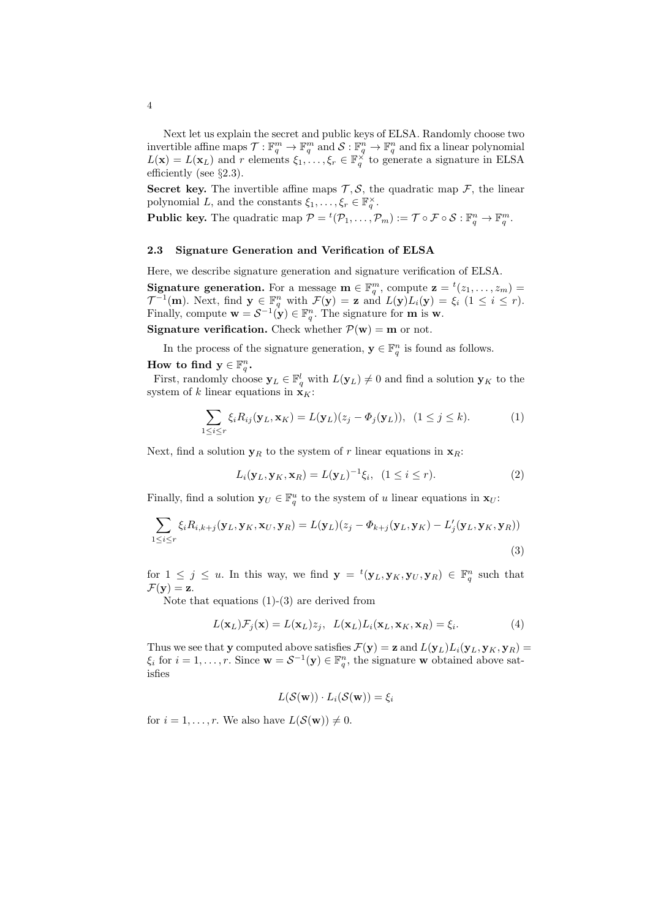Next let us explain the secret and public keys of ELSA. Randomly choose two invertible affine maps  $\mathcal{T} : \mathbb{F}_q^m \to \mathbb{F}_q^m$  and  $\mathcal{S} : \mathbb{F}_q^n \to \mathbb{F}_q^n$  and fix a linear polynomial  $L(\mathbf{x}) = L(\mathbf{x}_L)$  and *r* elements  $\xi_1, \ldots, \xi_r \in \mathbb{F}_q^\times$  to generate a signature in ELSA efficiently (see *§*2.3).

**Secret key.** The invertible affine maps  $\mathcal{T}, \mathcal{S}$ , the quadratic map  $\mathcal{F}$ , the linear polynomial *L*, and the constants  $\xi_1, \ldots, \xi_r \in \mathbb{F}_q^{\times}$ .

**Public key.** The quadratic map  $\mathcal{P} = {}^t(\mathcal{P}_1, \ldots, \mathcal{P}_m) := \mathcal{T} \circ \mathcal{F} \circ \mathcal{S} : \mathbb{F}_q^n \to \mathbb{F}_q^m$ .

#### **2.3 Signature Generation and Verification of ELSA**

Here, we describe signature generation and signature verification of ELSA.

**Signature generation.** For a message  $\mathbf{m} \in \mathbb{F}_q^m$ , compute  $\mathbf{z} = {}^t(z_1, \ldots, z_m) =$ *T*<sup>-1</sup>(**m**). Next, find  $\mathbf{y} \in \mathbb{F}_q^n$  with  $\mathcal{F}(\mathbf{y}) = \mathbf{z}$  and  $L(\mathbf{y})L_i(\mathbf{y}) = \xi_i$  (1  $\leq i \leq r$ ). Finally, compute  $\mathbf{w} = \mathcal{S}^{-1}(\mathbf{y}) \in \mathbb{F}_q^n$ . The signature for **m** is **w**.

**Signature verification.** Check whether  $P(\mathbf{w}) = \mathbf{m}$  or not.

In the process of the signature generation,  $\mathbf{y} \in \mathbb{F}_q^n$  is found as follows.

# How to find  $y \in \mathbb{F}_q^n$ .

First, randomly choose  $\mathbf{y}_L \in \mathbb{F}_q^l$  with  $L(\mathbf{y}_L) \neq 0$  and find a solution  $\mathbf{y}_K$  to the system of *k* linear equations in  $\mathbf{x}_K$ :

$$
\sum_{1 \leq i \leq r} \xi_i R_{ij}(\mathbf{y}_L, \mathbf{x}_K) = L(\mathbf{y}_L)(z_j - \Phi_j(\mathbf{y}_L)), \ (1 \leq j \leq k). \tag{1}
$$

Next, find a solution  $y_R$  to the system of *r* linear equations in  $x_R$ :

$$
L_i(\mathbf{y}_L, \mathbf{y}_K, \mathbf{x}_R) = L(\mathbf{y}_L)^{-1} \xi_i, \ (1 \le i \le r). \tag{2}
$$

Finally, find a solution  $\mathbf{y}_U \in \mathbb{F}_q^u$  to the system of *u* linear equations in  $\mathbf{x}_U$ :

$$
\sum_{1 \leq i \leq r} \xi_i R_{i,k+j}(\mathbf{y}_L, \mathbf{y}_K, \mathbf{x}_U, \mathbf{y}_R) = L(\mathbf{y}_L)(z_j - \Phi_{k+j}(\mathbf{y}_L, \mathbf{y}_K) - L'_j(\mathbf{y}_L, \mathbf{y}_K, \mathbf{y}_R))
$$
\n(3)

for  $1 \leq j \leq u$ . In this way, we find  $\mathbf{y} = {}^{t}(\mathbf{y}_L, \mathbf{y}_K, \mathbf{y}_U, \mathbf{y}_R) \in \mathbb{F}_q^n$  such that  $\mathcal{F}(\mathbf{y}) = \mathbf{z}.$ 

Note that equations  $(1)-(3)$  are derived from

$$
L(\mathbf{x}_L)\mathcal{F}_j(\mathbf{x}) = L(\mathbf{x}_L)z_j, \quad L(\mathbf{x}_L)L_i(\mathbf{x}_L,\mathbf{x}_K,\mathbf{x}_R) = \xi_i.
$$
 (4)

Thus we see that **y** computed above satisfies  $\mathcal{F}(\mathbf{y}) = \mathbf{z}$  and  $L(\mathbf{y}_L)L_i(\mathbf{y}_L, \mathbf{y}_K, \mathbf{y}_R) =$  $\xi_i$  for  $i = 1, \ldots, r$ . Since  $\mathbf{w} = S^{-1}(\mathbf{y}) \in \mathbb{F}_q^n$ , the signature **w** obtained above satisfies

$$
L(\mathcal{S}(\mathbf{w})) \cdot L_i(\mathcal{S}(\mathbf{w})) = \xi_i
$$

for  $i = 1, \ldots, r$ . We also have  $L(S(\mathbf{w})) \neq 0$ .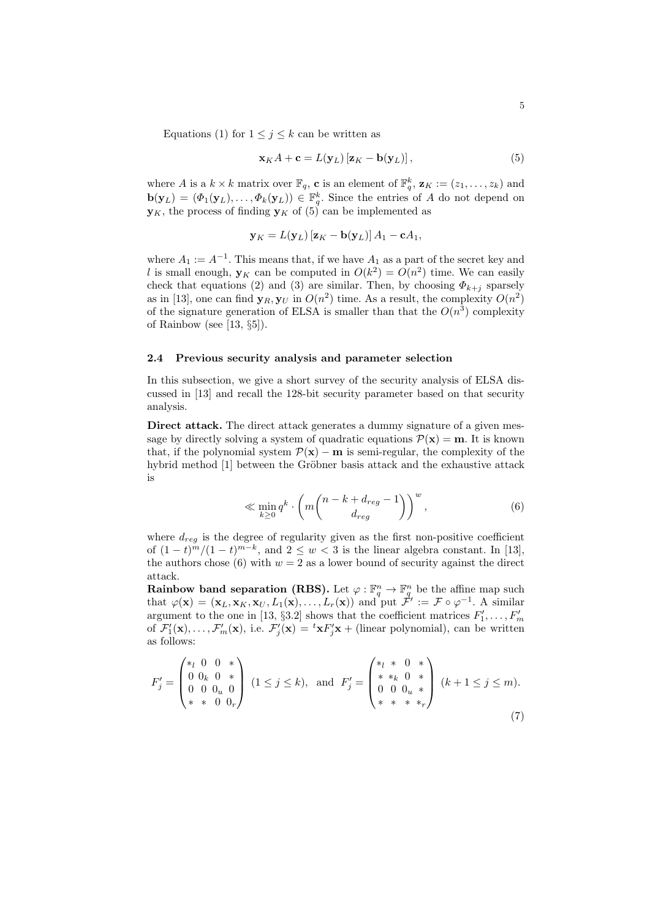$$
\mathbf{x}_K A + \mathbf{c} = L(\mathbf{y}_L) [\mathbf{z}_K - \mathbf{b}(\mathbf{y}_L)], \qquad (5)
$$

where *A* is a  $k \times k$  matrix over  $\mathbb{F}_q$ , **c** is an element of  $\mathbb{F}_q^k$ ,  $\mathbf{z}_K := (z_1, \ldots, z_k)$  and  $\mathbf{b}(\mathbf{y}_L) = (\Phi_1(\mathbf{y}_L), \dots, \Phi_k(\mathbf{y}_L)) \in \mathbb{F}_q^k$ . Since the entries of *A* do not depend on  $\mathbf{y}_K$ , the process of finding  $\mathbf{y}_K$  of (5) can be implemented as

$$
\mathbf{y}_K = L(\mathbf{y}_L) [\mathbf{z}_K - \mathbf{b}(\mathbf{y}_L)] A_1 - \mathbf{c} A_1,
$$

where  $A_1 := A^{-1}$ . This means that, if we have  $A_1$  as a part of the secret key and l is small enough,  $y_K$  can be computed in  $O(k^2) = O(n^2)$  time. We can easily check that equations (2) and (3) are similar. Then, by choosing  $\Phi_{k+i}$  sparsely as in [13], one can find  $\mathbf{y}_R, \mathbf{y}_U$  in  $O(n^2)$  time. As a result, the complexity  $O(n^2)$ of the signature generation of ELSA is smaller than that the  $O(n^3)$  complexity of Rainbow (see [13, *§*5]).

#### **2.4 Previous security analysis and parameter selection**

In this subsection, we give a short survey of the security analysis of ELSA discussed in [13] and recall the 128-bit security parameter based on that security analysis.

**Direct attack.** The direct attack generates a dummy signature of a given message by directly solving a system of quadratic equations  $P(\mathbf{x}) = \mathbf{m}$ . It is known that, if the polynomial system  $\mathcal{P}(\mathbf{x}) - \mathbf{m}$  is semi-regular, the complexity of the hybrid method [1] between the Gröbner basis attack and the exhaustive attack is

$$
\ll \min_{k\geq 0} q^k \cdot \left( m \binom{n-k+d_{reg}-1}{d_{reg}} \right)^w, \tag{6}
$$

where  $d_{reg}$  is the degree of regularity given as the first non-positive coefficient of  $(1-t)^m/(1-t)^{m-k}$ , and  $2 \leq w < 3$  is the linear algebra constant. In [13], the authors chose (6) with  $w = 2$  as a lower bound of security against the direct attack.

**Rainbow band separation (RBS).** Let  $\varphi : \mathbb{F}_q^n \to \mathbb{F}_q^n$  be the affine map such that  $\varphi(\mathbf{x}) = (\mathbf{x}_L, \mathbf{x}_K, \mathbf{x}_U, L_1(\mathbf{x}), \dots, L_r(\mathbf{x}))$  and put  $\mathcal{F}' := \mathcal{F} \circ \varphi^{-1}$ . A similar argument to the one in [13,  $\S3.2$ ] shows that the coefficient matrices  $F'_1, \ldots, F'_m$ of  $\mathcal{F}'_1(\mathbf{x}), \ldots, \mathcal{F}'_m(\mathbf{x})$ , i.e.  $\mathcal{F}'_j(\mathbf{x}) = {}^t \mathbf{x} F'_j \mathbf{x} +$  (linear polynomial), can be written as follows:

$$
F'_{j} = \begin{pmatrix} *_{l} 0 & 0 & * \\ 0 & 0_{k} & 0 & * \\ 0 & 0 & 0_{u} & 0 \\ * & * & 0 & 0_{r} \end{pmatrix} (1 \leq j \leq k), \text{ and } F'_{j} = \begin{pmatrix} *_{l} & * & 0 & * \\ * & *_{k} & 0 & * \\ 0 & 0 & 0_{u} & * \\ * & * & * & *_{r} \end{pmatrix} (k+1 \leq j \leq m).
$$
\n(7)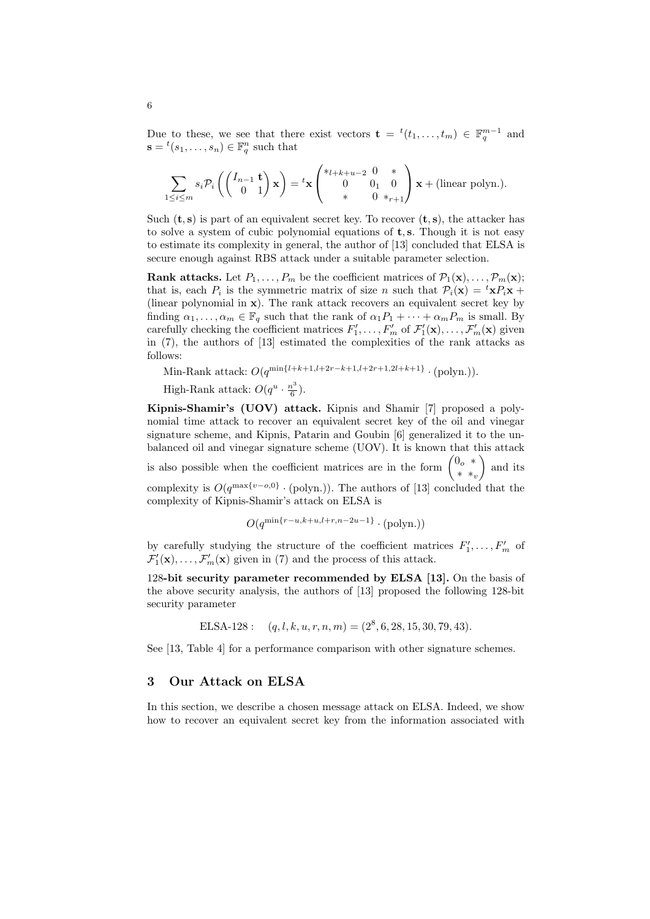Due to these, we see that there exist vectors  $\mathbf{t} = {}^{t}(t_1, \ldots, t_m) \in \mathbb{F}_q^{m-1}$  and  $\mathbf{s} = {}^{t}(s_1, \ldots, s_n) \in \mathbb{F}_q^n$  such that

$$
\sum_{1 \leq i \leq m} s_i \mathcal{P}_i \left( \begin{pmatrix} I_{n-1} & \mathbf{t} \\ 0 & 1 \end{pmatrix} \mathbf{x} \right) = {}^t \mathbf{x} \begin{pmatrix} *_{l+k+u-2} & 0 & * \\ 0 & 0_1 & 0 \\ * & 0 & *_{r+1} \end{pmatrix} \mathbf{x} + (\text{linear polynomial}).
$$

Such  $(\mathbf{t}, \mathbf{s})$  is part of an equivalent secret key. To recover  $(\mathbf{t}, \mathbf{s})$ , the attacker has to solve a system of cubic polynomial equations of **t***,* **s**. Though it is not easy to estimate its complexity in general, the author of [13] concluded that ELSA is secure enough against RBS attack under a suitable parameter selection.

**Rank attacks.** Let  $P_1, \ldots, P_m$  be the coefficient matrices of  $\mathcal{P}_1(\mathbf{x}), \ldots, \mathcal{P}_m(\mathbf{x})$ ; that is, each  $P_i$  is the symmetric matrix of size *n* such that  $P_i(\mathbf{x}) = {}^t \mathbf{x} P_i \mathbf{x} +$ (linear polynomial in **x**). The rank attack recovers an equivalent secret key by finding  $\alpha_1, \ldots, \alpha_m \in \mathbb{F}_q$  such that the rank of  $\alpha_1 P_1 + \cdots + \alpha_m P_m$  is small. By carefully checking the coefficient matrices  $F'_1, \ldots, F'_m$  of  $\mathcal{F}'_1(\mathbf{x}), \ldots, \mathcal{F}'_m(\mathbf{x})$  given in (7), the authors of [13] estimated the complexities of the rank attacks as follows:

Min-Rank attack:  $O(q^{\min\{l+k+1, l+2r-k+1, l+2r+1, 2l+k+1\}} \cdot (polyn))$ .

High-Rank attack:  $O(q^u \cdot \frac{n^3}{6})$  $\frac{i^5}{6}$ .

**Kipnis-Shamir's (UOV) attack.** Kipnis and Shamir [7] proposed a polynomial time attack to recover an equivalent secret key of the oil and vinegar signature scheme, and Kipnis, Patarin and Goubin [6] generalized it to the unbalanced oil and vinegar signature scheme (UOV). It is known that this attack

is also possible when the coefficient matrices are in the form  $\begin{pmatrix} 0 & * \\ 0 & * \end{pmatrix}$ *∗ ∗<sup>v</sup>* ) and its

complexity is  $O(q^{\max\{v - o, 0\}} \cdot (polyn))$ . The authors of [13] concluded that the complexity of Kipnis-Shamir's attack on ELSA is

$$
O(q^{\min\{r-u,k+u,l+r,n-2u-1\}} \cdot (polyn.))
$$

by carefully studying the structure of the coefficient matrices  $F'_1, \ldots, F'_m$  of  $\mathcal{F}'_1(\mathbf{x}), \ldots, \mathcal{F}'_m(\mathbf{x})$  given in (7) and the process of this attack.

128**-bit security parameter recommended by ELSA [13].** On the basis of the above security analysis, the authors of [13] proposed the following 128-bit security parameter

ELSA-128 :  $(q, l, k, u, r, n, m) = (2^8, 6, 28, 15, 30, 79, 43)$ .

See [13, Table 4] for a performance comparison with other signature schemes.

#### **3 Our Attack on ELSA**

In this section, we describe a chosen message attack on ELSA. Indeed, we show how to recover an equivalent secret key from the information associated with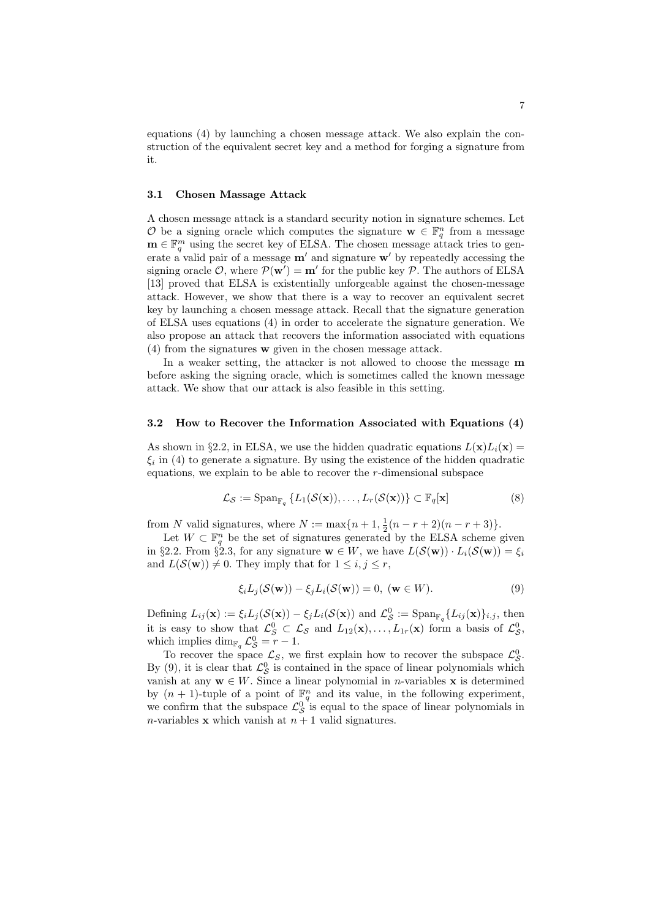equations (4) by launching a chosen message attack. We also explain the construction of the equivalent secret key and a method for forging a signature from it.

#### **3.1 Chosen Massage Attack**

A chosen message attack is a standard security notion in signature schemes. Let *O* be a signing oracle which computes the signature  $\mathbf{w} \in \mathbb{F}_q^n$  from a message **m**  $∈$   $\mathbb{F}_q^m$  using the secret key of ELSA. The chosen message attack tries to generate a valid pair of a message **m***′* and signature **w***′* by repeatedly accessing the signing oracle  $\mathcal{O}$ , where  $\mathcal{P}(\mathbf{w}') = \mathbf{m}'$  for the public key  $\mathcal{P}$ . The authors of ELSA [13] proved that ELSA is existentially unforgeable against the chosen-message attack. However, we show that there is a way to recover an equivalent secret key by launching a chosen message attack. Recall that the signature generation of ELSA uses equations (4) in order to accelerate the signature generation. We also propose an attack that recovers the information associated with equations (4) from the signatures **w** given in the chosen message attack.

In a weaker setting, the attacker is not allowed to choose the message **m** before asking the signing oracle, which is sometimes called the known message attack. We show that our attack is also feasible in this setting.

#### **3.2 How to Recover the Information Associated with Equations (4)**

As shown in *§*2.2, in ELSA, we use the hidden quadratic equations  $L(\mathbf{x})L_i(\mathbf{x}) =$ *ξi* in (4) to generate a signature. By using the existence of the hidden quadratic equations, we explain to be able to recover the *r*-dimensional subspace

$$
\mathcal{L}_{\mathcal{S}} := \operatorname{Span}_{\mathbb{F}_q} \{ L_1(\mathcal{S}(\mathbf{x})), \dots, L_r(\mathcal{S}(\mathbf{x})) \} \subset \mathbb{F}_q[\mathbf{x}]
$$
 (8)

from *N* valid signatures, where  $N := \max\{n+1, \frac{1}{2}(n-r+2)(n-r+3)\}.$ 

Let  $W \subset \mathbb{F}_q^n$  be the set of signatures generated by the ELSA scheme given in §2.2. From §2.3, for any signature  $\mathbf{w} \in W$ , we have  $L(\mathcal{S}(\mathbf{w})) \cdot L_i(\mathcal{S}(\mathbf{w})) = \xi_i$ and  $L(S(\mathbf{w})) \neq 0$ . They imply that for  $1 \leq i, j \leq r$ ,

$$
\xi_i L_j(\mathcal{S}(\mathbf{w})) - \xi_j L_i(\mathcal{S}(\mathbf{w})) = 0, \ (\mathbf{w} \in W). \tag{9}
$$

Defining  $L_{ij}(\mathbf{x}) := \xi_i L_j(\mathcal{S}(\mathbf{x})) - \xi_j L_i(\mathcal{S}(\mathbf{x}))$  and  $\mathcal{L}_{\mathcal{S}}^0 := \text{Span}_{\mathbb{F}_q} \{L_{ij}(\mathbf{x})\}_{i,j}$ , then it is easy to show that  $\mathcal{L}_S^0 \subset \mathcal{L}_S$  and  $L_{12}(\mathbf{x}), \ldots, L_{1r}(\mathbf{x})$  form a basis of  $\mathcal{L}_S^0$ , which implies  $\dim_{\mathbb{F}_q} \mathcal{L}_{\mathcal{S}}^0 = r - 1.$ 

To recover the space  $\mathcal{L}_S$ , we first explain how to recover the subspace  $\mathcal{L}_S^0$ . By (9), it is clear that  $\mathcal{L}_{\mathcal{S}}^0$  is contained in the space of linear polynomials which vanish at any  $w \in W$ . Since a linear polynomial in *n*-variables **x** is determined by  $(n + 1)$ -tuple of a point of  $\mathbb{F}_q^n$  and its value, in the following experiment, we confirm that the subspace  $\mathcal{L}_{\mathcal{S}}^{0}$  is equal to the space of linear polynomials in *n*-variables **x** which vanish at  $n + 1$  valid signatures.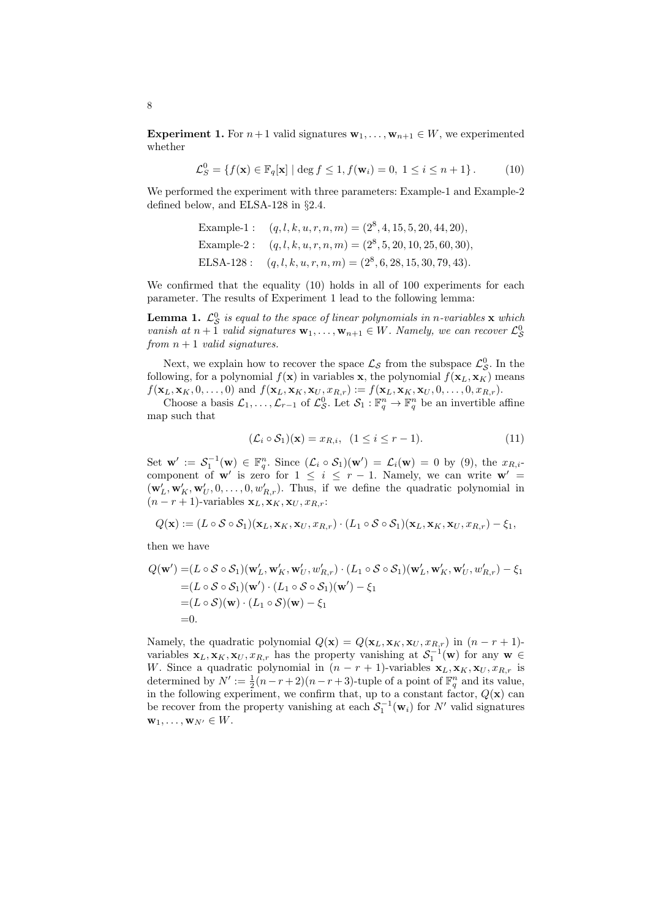**Experiment 1.** For  $n+1$  valid signatures  $\mathbf{w}_1, \ldots, \mathbf{w}_{n+1} \in W$ , we experimented whether

 $\mathcal{L}_S^0 = \{ f(\mathbf{x}) \in \mathbb{F}_q[\mathbf{x}] \mid \deg f \le 1, f(\mathbf{w}_i) = 0, 1 \le i \le n + 1 \}.$  (10)

We performed the experiment with three parameters: Example-1 and Example-2 defined below, and ELSA-128 in *§*2.4.

> Example-1:  $(q, l, k, u, r, n, m) = (2^8, 4, 15, 5, 20, 44, 20)$ Example-2:  $(q, l, k, u, r, n, m) = (2^8, 5, 20, 10, 25, 60, 30)$ ELSA-128:  $(q, l, k, u, r, n, m) = (2^8, 6, 28, 15, 30, 79, 43)$ .

We confirmed that the equality (10) holds in all of 100 experiments for each parameter. The results of Experiment 1 lead to the following lemma:

**Lemma 1.**  $\mathcal{L}_{\mathcal{S}}^0$  is equal to the space of linear polynomials in *n*-variables **x** which *vanish at*  $n + 1$  *valid signatures*  $\mathbf{w}_1, \ldots, \mathbf{w}_{n+1} \in W$ *. Namely, we can recover*  $\mathcal{L}_\mathcal{S}^0$ *from n* + 1 *valid signatures.*

Next, we explain how to recover the space  $\mathcal{L}_{\mathcal{S}}$  from the subspace  $\mathcal{L}_{\mathcal{S}}^0$ . In the following, for a polynomial  $f(\mathbf{x})$  in variables **x**, the polynomial  $f(\mathbf{x}_L, \mathbf{x}_K)$  means  $f(\mathbf{x}_L, \mathbf{x}_K, 0, \dots, 0)$  and  $f(\mathbf{x}_L, \mathbf{x}_K, \mathbf{x}_U, x_{R,r}) := f(\mathbf{x}_L, \mathbf{x}_K, \mathbf{x}_U, 0, \dots, 0, x_{R,r}).$ 

Choose a basis  $\mathcal{L}_1, \ldots, \mathcal{L}_{r-1}$  of  $\mathcal{L}_{\mathcal{S}}^0$ . Let  $\mathcal{S}_1 : \mathbb{F}_q^n \to \mathbb{F}_q^n$  be an invertible affine map such that

$$
(\mathcal{L}_i \circ \mathcal{S}_1)(\mathbf{x}) = x_{R,i}, \ (1 \le i \le r-1). \tag{11}
$$

Set  $\mathbf{w}' := \mathcal{S}_1^{-1}(\mathbf{w}) \in \mathbb{F}_q^n$ . Since  $(\mathcal{L}_i \circ \mathcal{S}_1)(\mathbf{w}') = \mathcal{L}_i(\mathbf{w}) = 0$  by (9), the  $x_{R,i}$ component of **w**<sup>*'*</sup> is zero for  $1 \leq i \leq r-1$ . Namely, we can write **w**<sup>*'*</sup> =  $(\mathbf{w}'_L, \mathbf{w}'_K, \mathbf{w}'_U, 0, \ldots, 0, w'_{R,r})$ . Thus, if we define the quadratic polynomial in  $(n - r + 1)$ -variables  $\mathbf{x}_L, \mathbf{x}_K, \mathbf{x}_U, x_{R,r}$ :

$$
Q(\mathbf{x}) := (L \circ S \circ S_1)(\mathbf{x}_L, \mathbf{x}_K, \mathbf{x}_U, x_{R,r}) \cdot (L_1 \circ S \circ S_1)(\mathbf{x}_L, \mathbf{x}_K, \mathbf{x}_U, x_{R,r}) - \xi_1,
$$

then we have

$$
Q(\mathbf{w}') = (L \circ S \circ S_1)(\mathbf{w}'_L, \mathbf{w}'_K, \mathbf{w}'_U, w'_{R,r}) \cdot (L_1 \circ S \circ S_1)(\mathbf{w}'_L, \mathbf{w}'_K, \mathbf{w}'_U, w'_{R,r}) - \xi_1
$$
  
=  $(L \circ S \circ S_1)(\mathbf{w}') \cdot (L_1 \circ S \circ S_1)(\mathbf{w}') - \xi_1$   
=  $(L \circ S)(\mathbf{w}) \cdot (L_1 \circ S)(\mathbf{w}) - \xi_1$   
= 0.

Namely, the quadratic polynomial  $Q(\mathbf{x}) = Q(\mathbf{x}_L, \mathbf{x}_K, \mathbf{x}_U, x_{R,r})$  in  $(n - r + 1)$ variables  $\mathbf{x}_L, \mathbf{x}_K, \mathbf{x}_U, x_{R,r}$  has the property vanishing at  $S_1^{-1}(\mathbf{w})$  for any  $\mathbf{w} \in$ *W*. Since a quadratic polynomial in  $(n - r + 1)$ -variables  $\mathbf{x}_L, \mathbf{x}_K, \mathbf{x}_U, x_{R,r}$  is determined by  $N' := \frac{1}{2}(n - r + 2)(n - r + 3)$ -tuple of a point of  $\mathbb{F}_q^n$  and its value, in the following experiment, we confirm that, up to a constant factor,  $Q(\mathbf{x})$  can be recover from the property vanishing at each  $S_1^{-1}(\mathbf{w}_i)$  for  $N'$  valid signatures  $\mathbf{w}_1, \ldots, \mathbf{w}_{N'} \in W$ .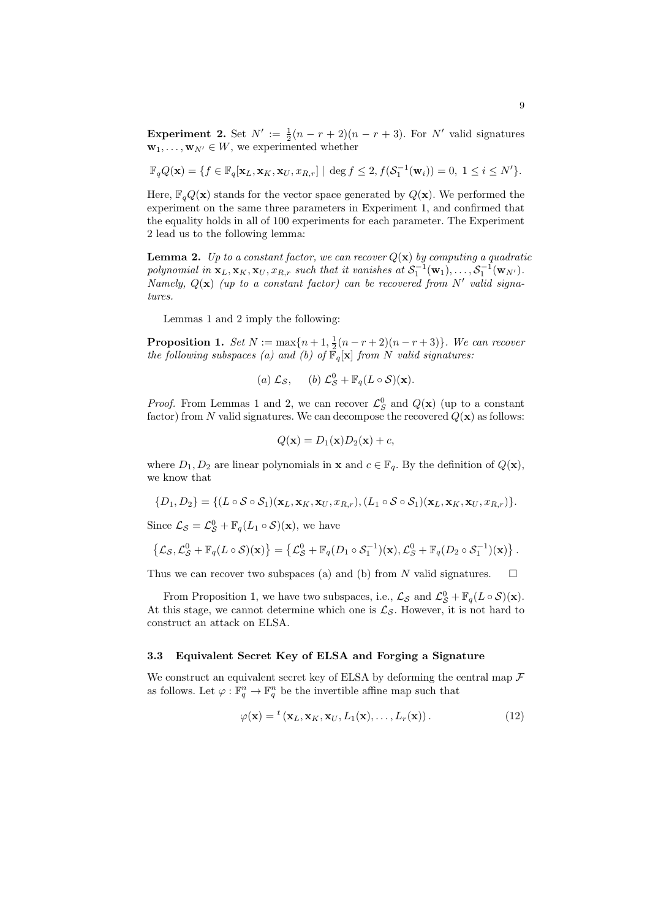**Experiment 2.** Set  $N' := \frac{1}{2}(n - r + 2)(n - r + 3)$ . For  $N'$  valid signatures  $\mathbf{w}_1, \ldots, \mathbf{w}_{N'} \in W$ , we experimented whether

$$
\mathbb{F}_qQ(\mathbf{x}) = \{f \in \mathbb{F}_q[\mathbf{x}_L, \mathbf{x}_K, \mathbf{x}_U, x_{R,r}] \mid \deg f \le 2, f(\mathcal{S}_1^{-1}(\mathbf{w}_i)) = 0, 1 \le i \le N'\}.
$$

Here,  $\mathbb{F}_q Q(\mathbf{x})$  stands for the vector space generated by  $Q(\mathbf{x})$ . We performed the experiment on the same three parameters in Experiment 1, and confirmed that the equality holds in all of 100 experiments for each parameter. The Experiment 2 lead us to the following lemma:

**Lemma 2.** *Up to a constant factor, we can recover*  $Q(\mathbf{x})$  *by computing a quadratic* polynomial in  $\mathbf{x}_L, \mathbf{x}_K, \mathbf{x}_U, x_{R,r}$  such that it vanishes at  $S_1^{-1}(\mathbf{w}_1), \ldots, S_1^{-1}(\mathbf{w}_{N'}).$ *Namely, Q*(**x**) *(up to a constant factor) can be recovered from N′ valid signatures.*

Lemmas 1 and 2 imply the following:

**Proposition 1.** *Set*  $N := \max\{n+1, \frac{1}{2}(n-r+2)(n-r+3)\}$ *. We can recover the following subspaces (a) and (b) of*  $\mathbb{F}_q[\mathbf{x}]$  *from N valid signatures:* 

(a) 
$$
\mathcal{L}_{\mathcal{S}}
$$
, (b)  $\mathcal{L}_{\mathcal{S}}^0 + \mathbb{F}_q(L \circ \mathcal{S})(\mathbf{x})$ .

*Proof.* From Lemmas 1 and 2, we can recover  $\mathcal{L}_S^0$  and  $Q(\mathbf{x})$  (up to a constant factor) from N valid signatures. We can decompose the recovered  $Q(\mathbf{x})$  as follows:

$$
Q(\mathbf{x}) = D_1(\mathbf{x})D_2(\mathbf{x}) + c,
$$

where  $D_1, D_2$  are linear polynomials in **x** and  $c \in \mathbb{F}_q$ . By the definition of  $Q(\mathbf{x})$ , we know that

$$
\{D_1, D_2\} = \{ (L \circ S \circ S_1)(\mathbf{x}_L, \mathbf{x}_K, \mathbf{x}_U, x_{R,r}), (L_1 \circ S \circ S_1)(\mathbf{x}_L, \mathbf{x}_K, \mathbf{x}_U, x_{R,r}) \}.
$$

Since  $\mathcal{L}_{\mathcal{S}} = \mathcal{L}_{\mathcal{S}}^0 + \mathbb{F}_q(L_1 \circ \mathcal{S})(\mathbf{x})$ , we have

$$
\{\mathcal{L}_{\mathcal{S}},\mathcal{L}_{\mathcal{S}}^0+\mathbb{F}_q(L\circ\mathcal{S})(\mathbf{x})\}=\left\{\mathcal{L}_{\mathcal{S}}^0+\mathbb{F}_q(D_1\circ\mathcal{S}_1^{-1})(\mathbf{x}),\mathcal{L}_{\mathcal{S}}^0+\mathbb{F}_q(D_2\circ\mathcal{S}_1^{-1})(\mathbf{x})\right\}.
$$

Thus we can recover two subspaces (a) and (b) from *N* valid signatures.  $\square$ 

From Proposition 1, we have two subspaces, i.e.,  $\mathcal{L}_{\mathcal{S}}$  and  $\mathcal{L}_{\mathcal{S}}^0 + \mathbb{F}_q(L \circ \mathcal{S})(\mathbf{x})$ . At this stage, we cannot determine which one is  $\mathcal{L}_{\mathcal{S}}$ . However, it is not hard to construct an attack on ELSA.

#### **3.3 Equivalent Secret Key of ELSA and Forging a Signature**

We construct an equivalent secret key of ELSA by deforming the central map *F* as follows. Let  $\varphi : \mathbb{F}_q^n \to \mathbb{F}_q^n$  be the invertible affine map such that

$$
\varphi(\mathbf{x}) = {}^{t}(\mathbf{x}_{L}, \mathbf{x}_{K}, \mathbf{x}_{U}, L_{1}(\mathbf{x}), \ldots, L_{r}(\mathbf{x})).
$$
\n(12)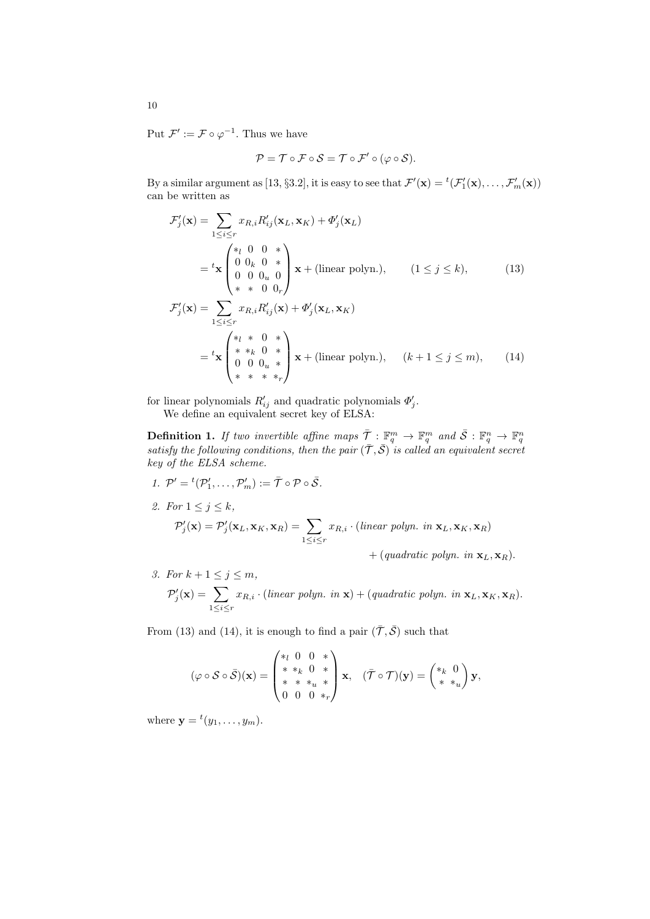Put  $\mathcal{F}' := \mathcal{F} \circ \varphi^{-1}$ . Thus we have

$$
\mathcal{P} = \mathcal{T} \circ \mathcal{F} \circ \mathcal{S} = \mathcal{T} \circ \mathcal{F}' \circ (\varphi \circ \mathcal{S}).
$$

By a similar argument as [13, §3.2], it is easy to see that  $\mathcal{F}'(\mathbf{x}) = {}^t(\mathcal{F}'_1(\mathbf{x}), \dots, \mathcal{F}'_m(\mathbf{x}))$ can be written as

$$
\mathcal{F}'_j(\mathbf{x}) = \sum_{1 \le i \le r} x_{R,i} R'_{ij}(\mathbf{x}_L, \mathbf{x}_K) + \Phi'_j(\mathbf{x}_L)
$$
\n
$$
= {}^t \mathbf{x} \begin{pmatrix} *_{l} 0 & 0 & * \\ 0 & 0_{k} 0 & * \\ 0 & 0 & 0_{u} 0 \\ * & * & 0 & 0_{r} \end{pmatrix} \mathbf{x} + (\text{linear polynomial}), \qquad (1 \le j \le k), \qquad (13)
$$
\n
$$
\mathcal{F}'_j(\mathbf{x}) = \sum_{1 \le i \le r} x_{R,i} R'_{ij}(\mathbf{x}) + \Phi'_j(\mathbf{x}_L, \mathbf{x}_K)
$$
\n
$$
= {}^t \mathbf{x} \begin{pmatrix} *_{l} * & 0 & * \\ * & *_{k} 0 & * \\ 0 & 0 & 0_{u} * \\ * & * & * & *_{r} \end{pmatrix} \mathbf{x} + (\text{linear polynomial}), \qquad (k+1 \le j \le m), \qquad (14)
$$

for linear polynomials  $R'_{ij}$  and quadratic polynomials  $\Phi'_{j}$ . We define an equivalent secret key of ELSA:

**Definition 1.** If two invertible affine maps  $\overline{\mathcal{T}} : \mathbb{F}_q^m \to \mathbb{F}_q^m$  and  $\overline{\mathcal{S}} : \mathbb{F}_q^n \to \mathbb{F}_q^n$ <br>satisfy the following conditions, then the pair  $(\overline{\mathcal{T}}, \overline{\mathcal{S}})$  is called an equivalent secret *key of the ELSA scheme.*

- *1*.  $\mathcal{P}' = {}^t(\mathcal{P}'_1, \dots, \mathcal{P}'_m) := \overline{\mathcal{T}} \circ \mathcal{P} \circ \overline{\mathcal{S}}$ .
- *2. For*  $1 \leq j \leq k$ *,*

$$
\mathcal{P}'_j(\mathbf{x}) = \mathcal{P}'_j(\mathbf{x}_L, \mathbf{x}_K, \mathbf{x}_R) = \sum_{1 \le i \le r} x_{R,i} \cdot (linear \text{ polyn. in } \mathbf{x}_L, \mathbf{x}_K, \mathbf{x}_R)
$$

 $+$  (*quadratic polyn. in*  $\mathbf{x}_L, \mathbf{x}_R$ ).

*3. For*  $k + 1 \le j \le m$ *,*  $\mathcal{P}'_j(\mathbf{x}) = \sum$ 1*≤i≤r*  $x_{R,i} \cdot (linear \text{ } polynomial \text{ } x) + (quadratic \text{ } polynomial \text{ } in \text{ } \textbf{x}_L, \textbf{x}_K, \textbf{x}_R).$ 

From (13) and (14), it is enough to find a pair  $(\bar{\mathcal{T}}, \bar{\mathcal{S}})$  such that

$$
(\varphi \circ \mathcal{S} \circ \bar{\mathcal{S}})(\mathbf{x}) = \begin{pmatrix} *_l 0 & 0 & * \\ * & *_k 0 & * \\ * & * & *_u * \\ 0 & 0 & 0 & *_r \end{pmatrix} \mathbf{x}, \quad (\bar{\mathcal{T}} \circ \mathcal{T})(\mathbf{y}) = \begin{pmatrix} *_k 0 \\ * & *_u \end{pmatrix} \mathbf{y},
$$

where  $\mathbf{y} = {}^{t}(y_1, \ldots, y_m)$ .

10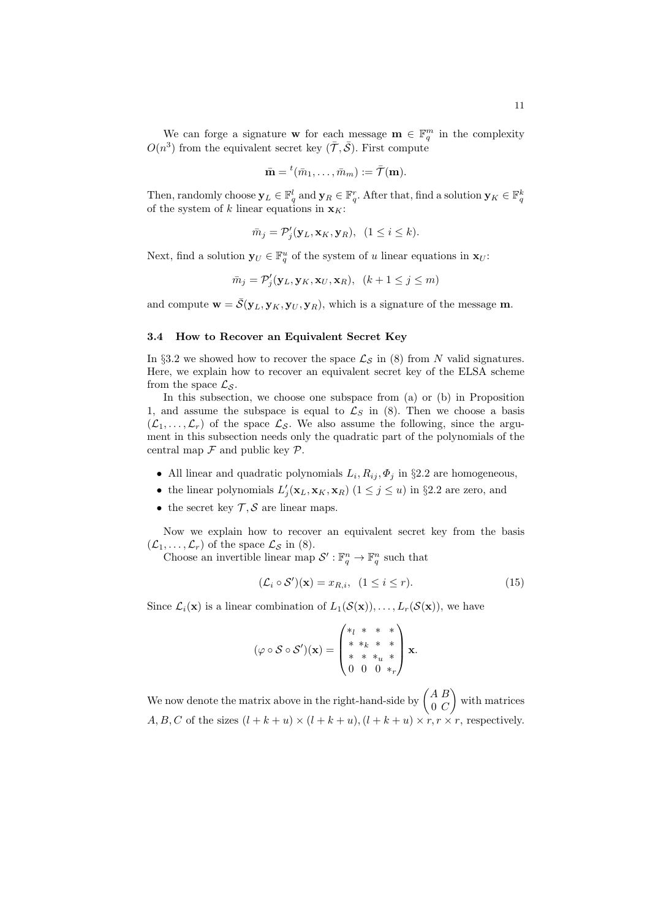We can forge a signature **w** for each message  $\mathbf{m} \in \mathbb{F}_q^m$  in the complexity  $O(n^3)$  from the equivalent secret key  $(\bar{\mathcal{T}}, \bar{\mathcal{S}})$ . First compute

$$
\bar{\mathbf{m}} = {}^{t}(\bar{m}_1, \ldots, \bar{m}_m) := \bar{\mathcal{T}}(\mathbf{m}).
$$

Then, randomly choose  $\mathbf{y}_L \in \mathbb{F}_q^l$  and  $\mathbf{y}_R \in \mathbb{F}_q^r$ . After that, find a solution  $\mathbf{y}_K \in \mathbb{F}_q^k$ of the system of *k* linear equations in  $\mathbf{x}_K$ :

$$
\bar{m}_j = \mathcal{P}'_j(\mathbf{y}_L, \mathbf{x}_K, \mathbf{y}_R), \ \ (1 \le i \le k).
$$

Next, find a solution  $\mathbf{y}_U \in \mathbb{F}_q^u$  of the system of *u* linear equations in  $\mathbf{x}_U$ :

$$
\bar{m}_j = \mathcal{P}'_j(\mathbf{y}_L, \mathbf{y}_K, \mathbf{x}_U, \mathbf{x}_R), \ (k+1 \le j \le m)
$$

and compute  $\mathbf{w} = \bar{S}(\mathbf{y}_L, \mathbf{y}_K, \mathbf{y}_U, \mathbf{y}_R)$ , which is a signature of the message m.

#### **3.4 How to Recover an Equivalent Secret Key**

In §3.2 we showed how to recover the space  $\mathcal{L}_{\mathcal{S}}$  in (8) from *N* valid signatures. Here, we explain how to recover an equivalent secret key of the ELSA scheme from the space  $\mathcal{L}_\mathcal{S}$ .

In this subsection, we choose one subspace from (a) or (b) in Proposition 1, and assume the subspace is equal to  $\mathcal{L}_S$  in (8). Then we choose a basis  $(\mathcal{L}_1, \ldots, \mathcal{L}_r)$  of the space  $\mathcal{L}_{\mathcal{S}}$ . We also assume the following, since the argument in this subsection needs only the quadratic part of the polynomials of the central map  $\mathcal F$  and public key  $\mathcal P$ .

- *•* All linear and quadratic polynomials *L<sup>i</sup> , Rij , Φ<sup>j</sup>* in *§*2.2 are homogeneous,
- the linear polynomials  $L'_{j}(\mathbf{x}_L, \mathbf{x}_K, \mathbf{x}_R)$  (1  $\leq j \leq u$ ) in §2.2 are zero, and
- the secret key  $\mathcal{T}, \mathcal{S}$  are linear maps.

Now we explain how to recover an equivalent secret key from the basis  $(\mathcal{L}_1, \ldots, \mathcal{L}_r)$  of the space  $\mathcal{L}_{\mathcal{S}}$  in (8).

Choose an invertible linear map  $\mathcal{S}' : \mathbb{F}_q^n \to \mathbb{F}_q^n$  such that

$$
(\mathcal{L}_i \circ \mathcal{S}')(\mathbf{x}) = x_{R,i}, \ (1 \le i \le r). \tag{15}
$$

Since  $\mathcal{L}_i(\mathbf{x})$  is a linear combination of  $L_1(\mathcal{S}(\mathbf{x})), \ldots, L_r(\mathcal{S}(\mathbf{x}))$ , we have

$$
(\varphi \circ S \circ S')(\mathbf{x}) = \begin{pmatrix} *_{l} & * & * & * \\ * & *_{k} & * & * \\ * & * & *_{u} & * \\ 0 & 0 & 0 & *_{r} \end{pmatrix} \mathbf{x}.
$$

We now denote the matrix above in the right-hand-side by  $\begin{pmatrix} A & B \\ 0 & C \end{pmatrix}$ 0 *C* ) with matrices *A, B, C* of the sizes  $(l + k + u) \times (l + k + u)$ ,  $(l + k + u) \times r$ , *r*  $\times r$ , respectively.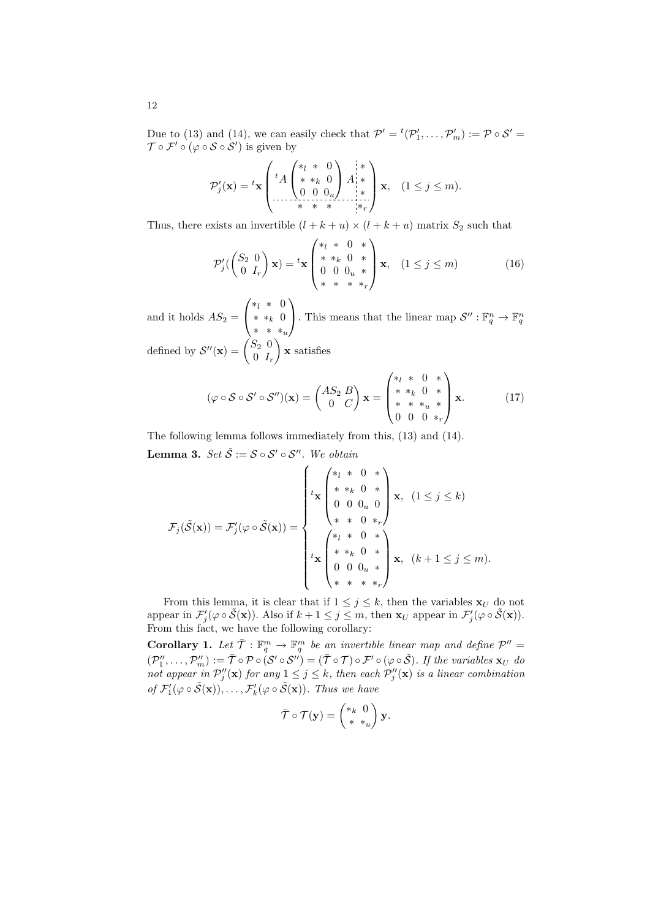Due to (13) and (14), we can easily check that  $\mathcal{P}' = {}^t(\mathcal{P}'_1, \ldots, \mathcal{P}'_m) := \mathcal{P} \circ \mathcal{S}' =$  $\mathcal{T} \circ \mathcal{F}' \circ (\varphi \circ \mathcal{S} \circ \mathcal{S}')$  is given by

$$
\mathcal{P}'_j(\mathbf{x}) = {}^{t}\mathbf{x} \left( {}^{t}A \begin{pmatrix} *_{l} & * & 0 \\ * & *_{k} & 0 \\ 0 & 0 & 0_{u} \end{pmatrix} A^{k}_{i} * \atop * & * & * \end{pmatrix} \mathbf{x}, \quad (1 \leq j \leq m).
$$

Thus, there exists an invertible  $(l + k + u) \times (l + k + u)$  matrix  $S_2$  such that

$$
\mathcal{P}'_j\begin{pmatrix} S_2 & 0\\ 0 & I_r \end{pmatrix} \mathbf{x}) = {^t}\mathbf{x} \begin{pmatrix} * & 0 & *\\ * & * & 0 & *\\ 0 & 0 & 0_u & *\\ * & * & * & *r \end{pmatrix} \mathbf{x}, \quad (1 \le j \le m) \tag{16}
$$

and it holds  $AS_2 =$  $\sqrt{ }$  $\overline{1}$ *∗<sup>l</sup> ∗* 0 *∗ ∗<sup>k</sup>* 0 *∗ ∗ ∗<sup>u</sup>*  $\setminus$ . This means that the linear map  $\mathcal{S}'' : \mathbb{F}_q^n \to \mathbb{F}_q^n$ defined by  $\mathcal{S}''(\mathbf{x}) = \begin{pmatrix} S_2 & 0 \\ 0 & I \end{pmatrix}$ 0 *I<sup>r</sup>* ) **x** satisfies

$$
(\varphi \circ \mathcal{S} \circ \mathcal{S}' \circ \mathcal{S}'')(\mathbf{x}) = \begin{pmatrix} AS_2 & B \\ 0 & C \end{pmatrix} \mathbf{x} = \begin{pmatrix} *_l & * & 0 & * \\ * & *_k & 0 & * \\ * & * & * & * \\ 0 & 0 & 0 & *_{r} \end{pmatrix} \mathbf{x}.
$$
 (17)

The following lemma follows immediately from this, (13) and (14). **Lemma 3.**  $Set \tilde{S} := S \circ S' \circ S''$ . We obtain

$$
\mathcal{F}_{j}(\tilde{\mathcal{S}}(\mathbf{x})) = \mathcal{F}'_{j}(\varphi \circ \tilde{\mathcal{S}}(\mathbf{x})) = \begin{cases} \begin{cases} \begin{aligned} \ast_{l} & \ast & 0 & \ast \\ \ast & \ast_{k} & 0 & \ast \\ 0 & 0 & 0_{u} & 0 \\ \ast & \ast & 0 & \ast_{r} \end{aligned} \\ \begin{aligned} \ast_{l} & \ast_{l} & \ast_{l} & 0 & \ast \\ \ast_{l} & \ast_{l} & 0 & \ast \\ 0 & 0 & 0_{u} & \ast \\ \ast_{l} & \ast_{l} & \ast_{l} & \ast_{l} \end{aligned} \end{cases} \begin{cases} \mathbf{x}, & (1 \leq j \leq k) \\ \mathbf{x}, & (k+1 \leq j \leq m). \end{cases} \end{cases}
$$

From this lemma, it is clear that if  $1 \leq j \leq k$ , then the variables  $\mathbf{x}_U$  do not appear in  $\mathcal{F}'_j(\varphi \circ \tilde{\mathcal{S}}(\mathbf{x}))$ . Also if  $k+1 \leq j \leq m$ , then  $\mathbf{x}_U$  appear in  $\mathcal{F}'_j(\varphi \circ \tilde{\mathcal{S}}(\mathbf{x}))$ . From this fact, we have the following corollary:

**Corollary 1.** Let  $\overline{\mathcal{T}}$  :  $\mathbb{F}_q^m \to \mathbb{F}_q^m$  be an invertible linear map and define  $\mathcal{P}'' =$  $(\mathcal{P}_1'', \ldots, \mathcal{P}_m'') := \overline{\mathcal{T}} \circ \mathcal{P} \circ (\mathcal{S}' \circ \mathcal{S}'') = (\overline{\mathcal{T}} \circ \mathcal{T}) \circ \mathcal{F}' \circ (\varphi \circ \widetilde{\mathcal{S}}).$  If the variables  $\mathbf{x}_U$  do *not appear in*  $\mathcal{P}''_j(\mathbf{x})$  *for any*  $1 \leq j \leq k$ *, then each*  $\mathcal{P}''_j(\mathbf{x})$  *is a linear combination of*  $\mathcal{F}'_1(\varphi \circ \tilde{\mathcal{S}}(\mathbf{x}))$ , ...,  $\mathcal{F}'_k(\varphi \circ \tilde{\mathcal{S}}(\mathbf{x}))$ . Thus we have

$$
\bar{\mathcal{T}} \circ \mathcal{T}(\mathbf{y}) = \begin{pmatrix} *_{k} & 0 \\ * & *_{u} \end{pmatrix} \mathbf{y}.
$$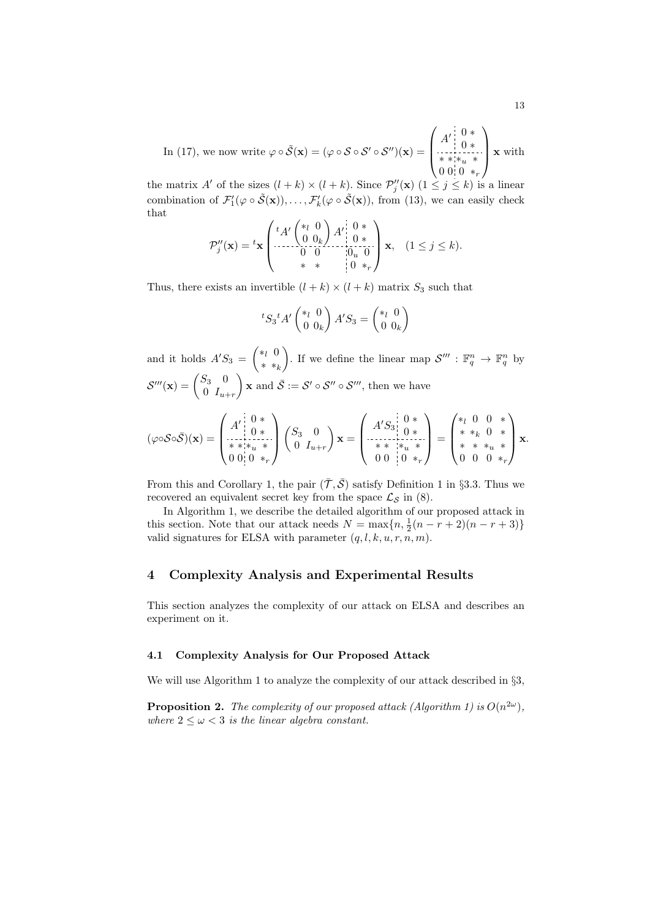In (17), we now write 
$$
\varphi \circ \tilde{\mathcal{S}}(\mathbf{x}) = (\varphi \circ \mathcal{S} \circ \mathcal{S}' \circ \mathcal{S}'')(\mathbf{x}) = \begin{pmatrix} A' & 0 & * \\ 0 & * & * \\ * & * & * & * \\ 0 & 0 & 0 & * \end{pmatrix} \mathbf{x}
$$
 with

the matrix *A'* of the sizes  $(l + k) \times (l + k)$ . Since  $\mathcal{P}''_j(\mathbf{x})$   $(1 \leq j \leq k)$  is a linear combination of  $\mathcal{F}'_1(\varphi \circ \tilde{\mathcal{S}}(\mathbf{x})), \dots, \mathcal{F}'_k(\varphi \circ \tilde{\mathcal{S}}(\mathbf{x})),$  from (13), we can easily check that

$$
\mathcal{P}_j''(\mathbf{x}) = {}^{t}\mathbf{x} \begin{pmatrix} {}^{t}A' \begin{pmatrix} *_{l} & 0 \\ 0 & 0_{k} \end{pmatrix} A' \begin{pmatrix} 0 & * \\ 0 & * \\ 0 & 0 \end{pmatrix} \mathbf{x}, \quad (1 \leq j \leq k).
$$
  

$$
{}^{*}\mathbf{x} \begin{pmatrix} * & * \\ * & * \end{pmatrix} \begin{pmatrix} 0 & * \\ 0 & *_{r} \end{pmatrix} \mathbf{x}, \quad (1 \leq j \leq k).
$$

Thus, there exists an invertible  $(l + k) \times (l + k)$  matrix  $S_3$  such that

$$
{}^{t}S_{3}{}^{t}A'\begin{pmatrix} *_{l} & 0\\ 0 & 0_{k} \end{pmatrix}A'S_{3} = \begin{pmatrix} *_{l} & 0\\ 0 & 0_{k} \end{pmatrix}
$$

and it holds  $A'S_3 = \begin{pmatrix} *l & 0 \\ * & *l \end{pmatrix}$ *∗ ∗<sup>k</sup>* ). If we define the linear map  $\mathcal{S}'''$  :  $\mathbb{F}_q^n \to \mathbb{F}_q^n$  by  $\mathcal{S}'''(\mathbf{x}) = \begin{pmatrix} S_3 & 0 \ 0 & I \end{pmatrix}$  $0$   $I_{u+r}$  $\mathbf{x}$  and  $\bar{\mathcal{S}} := \mathcal{S}' \circ \mathcal{S}'' \circ \mathcal{S}'''$ , then we have

$$
(\varphi \circ \mathcal{S} \circ \bar{\mathcal{S}})(\mathbf{x}) = \begin{pmatrix} A' & 0 & * \\ 0 & * & * \\ * & * & * & * \\ 0 & 0 & 0 & * \\ 0 & 0 & 0 & * \end{pmatrix} \begin{pmatrix} S_3 & 0 \\ 0 & I_{u+r} \end{pmatrix} \mathbf{x} = \begin{pmatrix} A'S_3 & 0 & * \\ 0 & * & * \\ * & * & * & * \\ 0 & 0 & 0 & * \\ 0 & 0 & 0 & * \end{pmatrix} = \begin{pmatrix} * & 0 & 0 & * \\ * & * & * & 0 & * \\ * & * & * & * & * \\ 0 & 0 & 0 & * \end{pmatrix} \mathbf{x}.
$$

From this and Corollary 1, the pair  $(\bar{\mathcal{T}}, \bar{\mathcal{S}})$  satisfy Definition 1 in §3.3. Thus we recovered an equivalent secret key from the space  $\mathcal{L}_{\mathcal{S}}$  in (8).

In Algorithm 1, we describe the detailed algorithm of our proposed attack in this section. Note that our attack needs  $N = \max\{n, \frac{1}{2}(n - r + 2)(n - r + 3)\}\$ valid signatures for ELSA with parameter  $(q, l, k, u, r, n, m)$ .

## **4 Complexity Analysis and Experimental Results**

This section analyzes the complexity of our attack on ELSA and describes an experiment on it.

#### **4.1 Complexity Analysis for Our Proposed Attack**

We will use Algorithm 1 to analyze the complexity of our attack described in *§*3,

**Proposition 2.** *The complexity of our proposed attack (Algorithm 1) is*  $O(n^{2\omega})$ *, where*  $2 \leq \omega < 3$  *is the linear algebra constant.*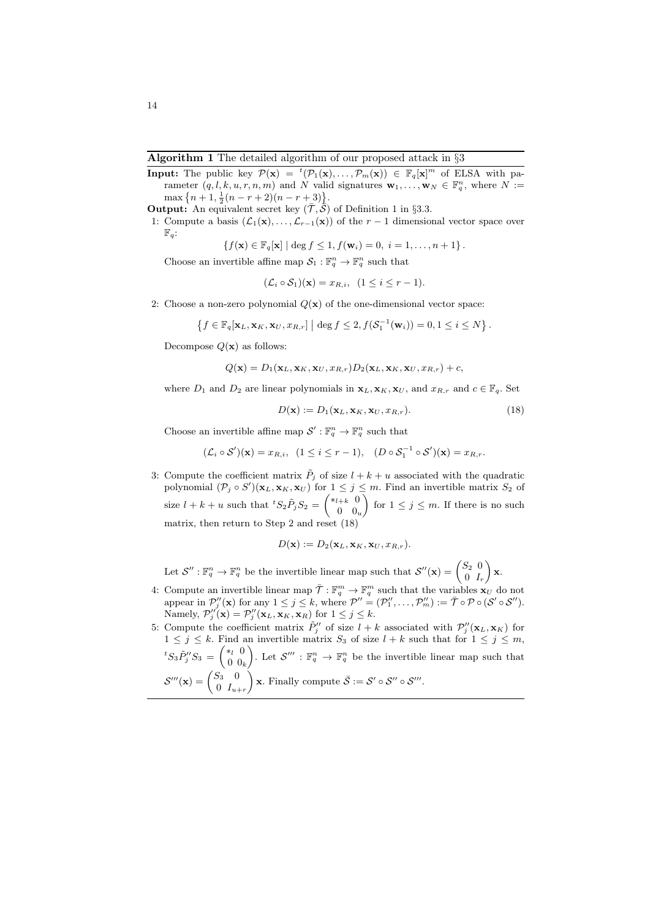- **Input:** The public key  $\mathcal{P}(\mathbf{x}) = {}^{t}(\mathcal{P}_1(\mathbf{x}), \ldots, \mathcal{P}_m(\mathbf{x})) \in \mathbb{F}_q[\mathbf{x}]^m$  of ELSA with parameter  $(q, l, k, u, r, n, m)$  and *N* valid signatures  $\mathbf{w}_1, \ldots, \mathbf{w}_N \in \mathbb{F}_q^n$ , where  $N :=$  $\max\left\{n+1, \frac{1}{2}(n-r+2)(n-r+3)\right\}.$
- **Output:** An equivalent secret key  $(\bar{\mathcal{T}}, \bar{\mathcal{S}})$  of Definition 1 in §3.3.
- 1: Compute a basis  $(\mathcal{L}_1(\mathbf{x}), \ldots, \mathcal{L}_{r-1}(\mathbf{x}))$  of the  $r-1$  dimensional vector space over  $\mathbb{F}_q$ :

$$
\{f(\mathbf{x}) \in \mathbb{F}_q[\mathbf{x}] \mid \deg f \leq 1, f(\mathbf{w}_i) = 0, \ i = 1, \dots, n+1\}.
$$

Choose an invertible affine map  $S_1: \mathbb{F}_q^n \to \mathbb{F}_q^n$  such that

$$
(\mathcal{L}_i \circ \mathcal{S}_1)(\mathbf{x}) = x_{R,i}, \ (1 \le i \le r-1).
$$

2: Choose a non-zero polynomial  $Q(\mathbf{x})$  of the one-dimensional vector space:

$$
\left\{f\in\mathbb{F}_q[\mathbf{x}_L,\mathbf{x}_K,\mathbf{x}_U,x_{R,r}]\; \Big|\; \deg f\leq 2, f(\mathcal{S}_1^{-1}(\mathbf{w}_i))=0, 1\leq i\leq N\right\}.
$$

Decompose  $Q(x)$  as follows:

$$
Q(\mathbf{x}) = D_1(\mathbf{x}_L, \mathbf{x}_K, \mathbf{x}_U, x_{R,r}) D_2(\mathbf{x}_L, \mathbf{x}_K, \mathbf{x}_U, x_{R,r}) + c,
$$

where  $D_1$  and  $D_2$  are linear polynomials in  $\mathbf{x}_L, \mathbf{x}_K, \mathbf{x}_U$ , and  $x_{R,r}$  and  $c \in \mathbb{F}_q$ . Set

$$
D(\mathbf{x}) := D_1(\mathbf{x}_L, \mathbf{x}_K, \mathbf{x}_U, x_{R,r}).
$$
\n(18)

Choose an invertible affine map  $\mathcal{S}' : \mathbb{F}_q^n \to \mathbb{F}_q^n$  such that

$$
(\mathcal{L}_i \circ \mathcal{S}')(\mathbf{x}) = x_{R,i}, \ \ (1 \le i \le r-1), \ \ (D \circ \mathcal{S}_1^{-1} \circ \mathcal{S}')(\mathbf{x}) = x_{R,r}.
$$

3: Compute the coefficient matrix  $\tilde{P}_j$  of size  $l + k + u$  associated with the quadratic polynomial  $(\mathcal{P}_j \circ S')(\mathbf{x}_L, \mathbf{x}_K, \mathbf{x}_U)$  for  $1 \leq j \leq m$ . Find an invertible matrix  $S_2$  of size  $l + k + u$  such that  ${}^tS_2 \tilde{P}_j S_2 = \begin{pmatrix} *l + k & 0 \\ 0 & 0 \end{pmatrix}$ 0 0*<sup>u</sup>* for  $1 \leq j \leq m$ . If there is no such matrix, then return to Step 2 and reset (18)

$$
D(\mathbf{x}) := D_2(\mathbf{x}_L, \mathbf{x}_K, \mathbf{x}_U, x_{R,r}).
$$

Let  $\mathcal{S}'' : \mathbb{F}_q^n \to \mathbb{F}_q^n$  be the invertible linear map such that  $\mathcal{S}''(\mathbf{x}) = \begin{pmatrix} S_2 & 0 \\ 0 & I \end{pmatrix}$ 0 *I<sup>r</sup>* ) **x**.

- 4: Compute an invertible linear map  $\overline{\mathcal{T}} : \mathbb{F}_q^m \to \mathbb{F}_q^m$  such that the variables  $\mathbf{x}_U$  do not appear in  $\mathcal{P}_j''(\mathbf{x})$  for any  $1 \leq j \leq k$ , where  $\mathcal{P}'' = (\mathcal{P}_1'', \ldots, \mathcal{P}_m'') := \bar{\mathcal{T}} \circ \mathcal{P} \circ (\mathcal{S}' \circ \mathcal{S}'').$ Namely,  $\mathcal{P}'_j(\mathbf{x}) = \mathcal{P}'_j(\mathbf{x}_L, \mathbf{x}_K, \mathbf{x}_R)$  for  $1 \leq j \leq k$ .
- 5: Compute the coefficient matrix  $\tilde{P}$ <sup>*''*</sup><sub>*j*</sub> of size  $l + k$  associated with  $\mathcal{P}'_j(\mathbf{x}_L, \mathbf{x}_K)$  for  $1 \leq j \leq k$ . Find an invertible matrix  $S_3$  of size  $l + k$  such that for  $1 \leq j \leq m$ ,  ${}^{t}S_{3}\tilde{P}''_{j}S_{3} = \begin{pmatrix} *_{l} & 0 \\ 0 & 0 \end{pmatrix}$ 0 0*<sup>k</sup>* ). Let  $\mathcal{S}''' : \mathbb{F}_q^n \to \mathbb{F}_q^n$  be the invertible linear map such that  $\mathcal{S}'''(\mathbf{x}) = \begin{pmatrix} S_3 & 0 \ 0 & I \end{pmatrix}$  $0$   $I_{u+r}$  $\left( \sum_{i=1}^{n} \mathbf{x} \cdot \mathbf{F}_{i} \right)$  **x**. Finally compute  $\overline{\mathcal{S}} := \mathcal{S}' \circ \mathcal{S}'' \circ \mathcal{S}'''$ .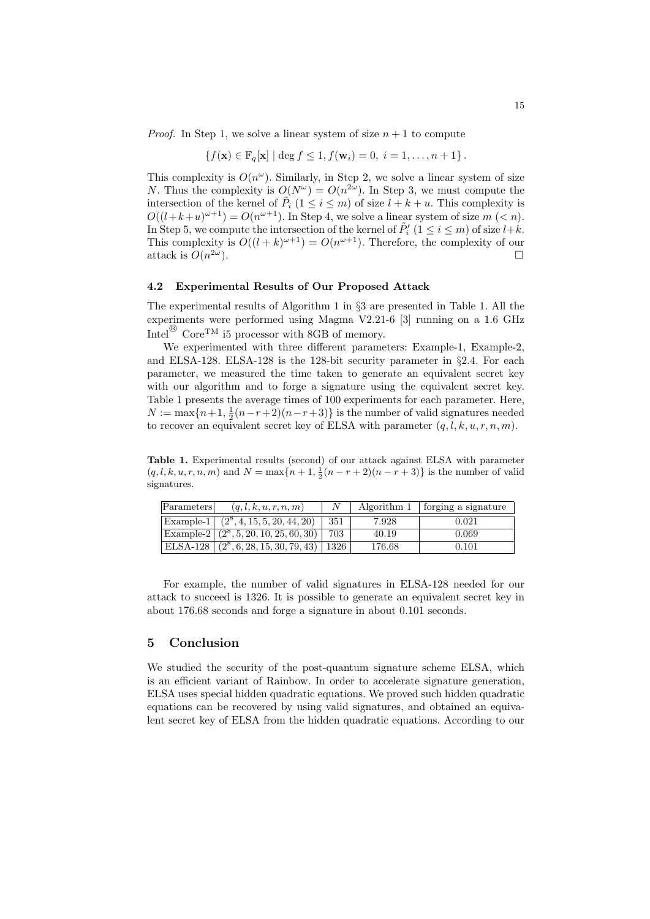*Proof.* In Step 1, we solve a linear system of size  $n + 1$  to compute

$$
\{f(\mathbf{x}) \in \mathbb{F}_q[\mathbf{x}] \mid \deg f \le 1, f(\mathbf{w}_i) = 0, \ i = 1, \dots, n+1\}.
$$

This complexity is  $O(n^{\omega})$ . Similarly, in Step 2, we solve a linear system of size *N*. Thus the complexity is  $O(N^{\omega}) = O(n^{2\omega})$ . In Step 3, we must compute the intersection of the kernel of  $\tilde{P}_i$  ( $1 \leq i \leq m$ ) of size  $l + k + u$ . This complexity is  $O((l+k+u)^{\omega+1}) = O(n^{\omega+1})$ . In Step 4, we solve a linear system of size  $m \leq n$ . In Step 5, we compute the intersection of the kernel of  $P'_{i}$  ( $1 \leq i \leq m$ ) of size  $l+k$ . This complexity is  $O((l + k)^{\omega+1}) = O(n^{\omega+1})$ . Therefore, the complexity of our attack is  $O(n^{2\omega})$ .  $2\omega$ ).

#### **4.2 Experimental Results of Our Proposed Attack**

The experimental results of Algorithm 1 in *§*3 are presented in Table 1. All the experiments were performed using Magma V2.21-6 [3] running on a 1.6 GHz  $\text{Intel}^{\textcircled{\tiny{\textbf{B}}}}$  Core<sup>TM</sup> i5 processor with 8GB of memory.

We experimented with three different parameters: Example-1, Example-2, and ELSA-128. ELSA-128 is the 128-bit security parameter in *§*2.4. For each parameter, we measured the time taken to generate an equivalent secret key with our algorithm and to forge a signature using the equivalent secret key. Table 1 presents the average times of 100 experiments for each parameter. Here,  $N := \max\{n+1, \frac{1}{2}(n-r+2)(n-r+3)\}$  is the number of valid signatures needed to recover an equivalent secret key of ELSA with parameter  $(q, l, k, u, r, n, m)$ .

**Table 1.** Experimental results (second) of our attack against ELSA with parameter  $(q, l, k, u, r, n, m)$  and  $N = \max\{n + 1, \frac{1}{2}(n - r + 2)(n - r + 3)\}$  is the number of valid signatures.

| Parameters | (q, l, k, u, r, n, m)                                          |     |        | Algorithm $1 \mid$ forging a signature |
|------------|----------------------------------------------------------------|-----|--------|----------------------------------------|
|            | $\overline{\text{Example-1} \mid (2^8, 4, 15, 5, 20, 44, 20)}$ | 351 | 7.928  | 0.021                                  |
|            | Example-2 $(2^8, 5, 20, 10, 25, 60, 30)$                       | 703 | 40.19  | 0.069                                  |
|            | ELSA-128 $(2^8, 6, 28, 15, 30, 79, 43)$ 1326                   |     | 176.68 | 0.101                                  |

For example, the number of valid signatures in ELSA-128 needed for our attack to succeed is 1326. It is possible to generate an equivalent secret key in about 176*.*68 seconds and forge a signature in about 0*.*101 seconds.

### **5 Conclusion**

We studied the security of the post-quantum signature scheme ELSA, which is an efficient variant of Rainbow. In order to accelerate signature generation, ELSA uses special hidden quadratic equations. We proved such hidden quadratic equations can be recovered by using valid signatures, and obtained an equivalent secret key of ELSA from the hidden quadratic equations. According to our